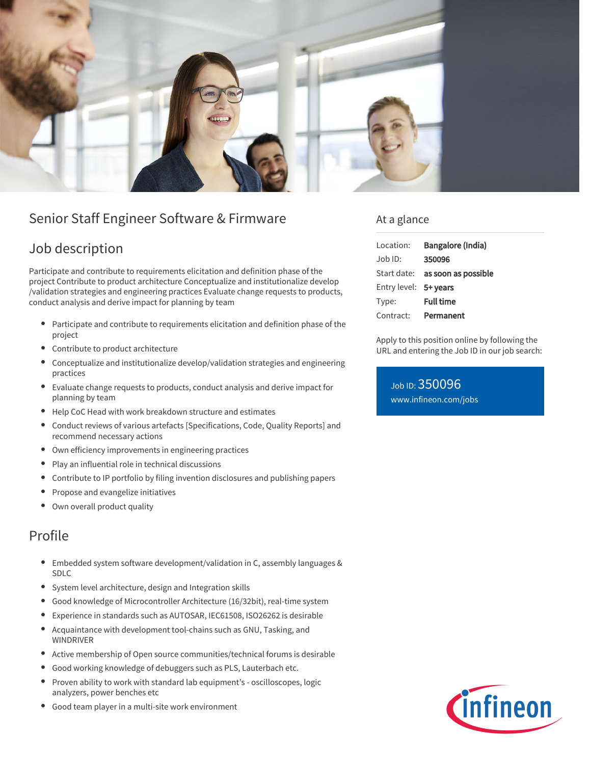

# Senior Staff Engineer Software & Firmware

# Job description

Participate and contribute to requirements elicitation and definition phase of the project Contribute to product architecture Conceptualize and institutionalize develop /validation strategies and engineering practices Evaluate change requests to products, conduct analysis and derive impact for planning by team

- Participate and contribute to requirements elicitation and definition phase of the  $\bullet$ project
- Contribute to product architecture
- $\bullet$ Conceptualize and institutionalize develop/validation strategies and engineering practices
- Evaluate change requests to products, conduct analysis and derive impact for planning by team
- Help CoC Head with work breakdown structure and estimates
- Conduct reviews of various artefacts [Specifications, Code, Quality Reports] and recommend necessary actions
- Own efficiency improvements in engineering practices
- Play an influential role in technical discussions
- Contribute to IP portfolio by filing invention disclosures and publishing papers
- Propose and evangelize initiatives
- Own overall product quality

## Profile

- Embedded system software development/validation in C, assembly languages & SDLC
- System level architecture, design and Integration skills
- Good knowledge of Microcontroller Architecture (16/32bit), real-time system
- Experience in standards such as AUTOSAR, IEC61508, ISO26262 is desirable  $\bullet$
- $\bullet$ Acquaintance with development tool-chains such as GNU, Tasking, and WINDRIVER
- Active membership of Open source communities/technical forums is desirable
- Good working knowledge of debuggers such as PLS, Lauterbach etc.
- Proven ability to work with standard lab equipment's oscilloscopes, logic analyzers, power benches etc
- Good team player in a multi-site work environment

### At a glance

| Location:             | Bangalore (India)   |
|-----------------------|---------------------|
| Job ID:               | 350096              |
| Start date:           | as soon as possible |
| Entry level: 5+ years |                     |
| Type:                 | <b>Full time</b>    |
| Contract:             | Permanent           |

Apply to this position online by following the URL and entering the Job ID in our job search:

### Job ID: 350096 [www.infineon.com/jobs](https://www.infineon.com/jobs)